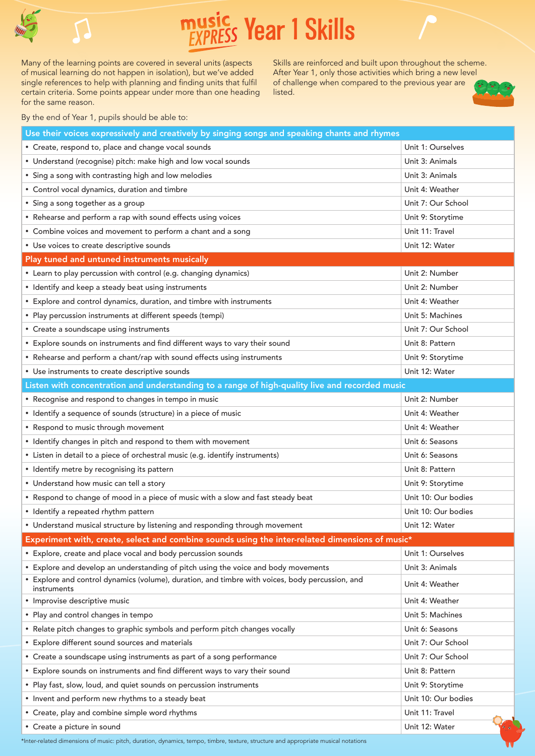

## **Year 1 Skills**

Many of the learning points are covered in several units (aspects of musical learning do not happen in isolation), but we've added single references to help with planning and finding units that fulfil certain criteria. Some points appear under more than one heading for the same reason.

Skills are reinforced and built upon throughout the scheme. After Year 1, only those activities which bring a new level of challenge when compared to the previous year are listed.



By the end of Year 1, pupils should be able to:

| Use their voices expressively and creatively by singing songs and speaking chants and rhymes                   |                     |
|----------------------------------------------------------------------------------------------------------------|---------------------|
| • Create, respond to, place and change vocal sounds                                                            | Unit 1: Ourselves   |
| • Understand (recognise) pitch: make high and low vocal sounds                                                 | Unit 3: Animals     |
| • Sing a song with contrasting high and low melodies                                                           | Unit 3: Animals     |
| • Control vocal dynamics, duration and timbre                                                                  | Unit 4: Weather     |
| • Sing a song together as a group                                                                              | Unit 7: Our School  |
| • Rehearse and perform a rap with sound effects using voices                                                   | Unit 9: Storytime   |
| • Combine voices and movement to perform a chant and a song                                                    | Unit 11: Travel     |
| • Use voices to create descriptive sounds                                                                      | Unit 12: Water      |
| Play tuned and untuned instruments musically                                                                   |                     |
| • Learn to play percussion with control (e.g. changing dynamics)                                               | Unit 2: Number      |
| • Identify and keep a steady beat using instruments                                                            | Unit 2: Number      |
| • Explore and control dynamics, duration, and timbre with instruments                                          | Unit 4: Weather     |
| • Play percussion instruments at different speeds (tempi)                                                      | Unit 5: Machines    |
| • Create a soundscape using instruments                                                                        | Unit 7: Our School  |
| • Explore sounds on instruments and find different ways to vary their sound                                    | Unit 8: Pattern     |
| • Rehearse and perform a chant/rap with sound effects using instruments                                        | Unit 9: Storytime   |
| • Use instruments to create descriptive sounds                                                                 | Unit 12: Water      |
| Listen with concentration and understanding to a range of high-quality live and recorded music                 |                     |
| • Recognise and respond to changes in tempo in music                                                           | Unit 2: Number      |
| • Identify a sequence of sounds (structure) in a piece of music                                                | Unit 4: Weather     |
| • Respond to music through movement                                                                            | Unit 4: Weather     |
| • Identify changes in pitch and respond to them with movement                                                  | Unit 6: Seasons     |
| • Listen in detail to a piece of orchestral music (e.g. identify instruments)                                  | Unit 6: Seasons     |
| • Identify metre by recognising its pattern                                                                    | Unit 8: Pattern     |
| • Understand how music can tell a story                                                                        | Unit 9: Storytime   |
| • Respond to change of mood in a piece of music with a slow and fast steady beat                               | Unit 10: Our bodies |
| • Identify a repeated rhythm pattern                                                                           | Unit 10: Our bodies |
| • Understand musical structure by listening and responding through movement                                    | Unit 12: Water      |
| Experiment with, create, select and combine sounds using the inter-related dimensions of music*                |                     |
| • Explore, create and place vocal and body percussion sounds                                                   | Unit 1: Ourselves   |
| • Explore and develop an understanding of pitch using the voice and body movements                             | Unit 3: Animals     |
| • Explore and control dynamics (volume), duration, and timbre with voices, body percussion, and<br>instruments | Unit 4: Weather     |
| · Improvise descriptive music                                                                                  | Unit 4: Weather     |
| • Play and control changes in tempo                                                                            | Unit 5: Machines    |
| • Relate pitch changes to graphic symbols and perform pitch changes vocally                                    | Unit 6: Seasons     |
| • Explore different sound sources and materials                                                                | Unit 7: Our School  |
| • Create a soundscape using instruments as part of a song performance                                          | Unit 7: Our School  |
| • Explore sounds on instruments and find different ways to vary their sound                                    | Unit 8: Pattern     |
| • Play fast, slow, loud, and quiet sounds on percussion instruments                                            | Unit 9: Storytime   |
| • Invent and perform new rhythms to a steady beat                                                              | Unit 10: Our bodies |
| • Create, play and combine simple word rhythms                                                                 | Unit 11: Travel     |
| • Create a picture in sound                                                                                    | Unit 12: Water      |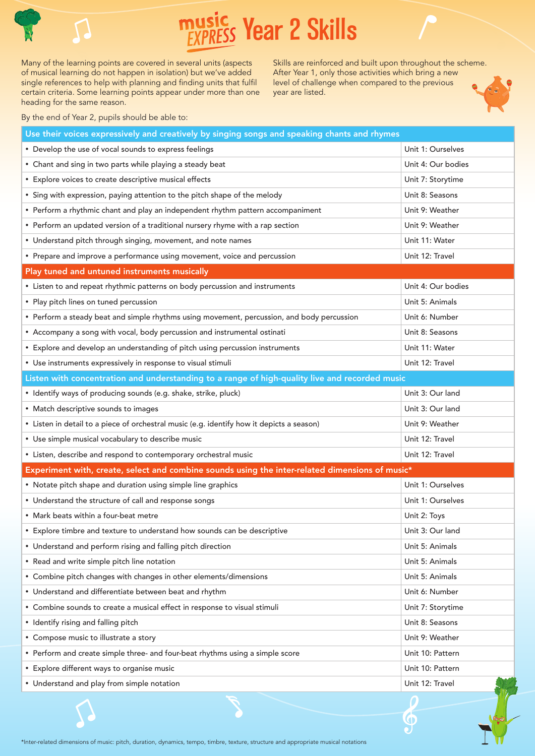

## **Year 2 Skills**

Many of the learning points are covered in several units (aspects of musical learning do not happen in isolation) but we've added single references to help with planning and finding units that fulfil certain criteria. Some learning points appear under more than one heading for the same reason.

Skills are reinforced and built upon throughout the scheme. After Year 1, only those activities which bring a new level of challenge when compared to the previous year are listed.

 $\tilde{\mathbf{c}}$ 



By the end of Year 2, pupils should be able to:

| Use their voices expressively and creatively by singing songs and speaking chants and rhymes    |                    |
|-------------------------------------------------------------------------------------------------|--------------------|
| • Develop the use of vocal sounds to express feelings                                           | Unit 1: Ourselves  |
| • Chant and sing in two parts while playing a steady beat                                       | Unit 4: Our bodies |
| • Explore voices to create descriptive musical effects                                          | Unit 7: Storytime  |
| • Sing with expression, paying attention to the pitch shape of the melody                       | Unit 8: Seasons    |
| • Perform a rhythmic chant and play an independent rhythm pattern accompaniment                 | Unit 9: Weather    |
| • Perform an updated version of a traditional nursery rhyme with a rap section                  | Unit 9: Weather    |
| • Understand pitch through singing, movement, and note names                                    | Unit 11: Water     |
| • Prepare and improve a performance using movement, voice and percussion                        | Unit 12: Travel    |
| Play tuned and untuned instruments musically                                                    |                    |
| • Listen to and repeat rhythmic patterns on body percussion and instruments                     | Unit 4: Our bodies |
| • Play pitch lines on tuned percussion                                                          | Unit 5: Animals    |
| • Perform a steady beat and simple rhythms using movement, percussion, and body percussion      | Unit 6: Number     |
| • Accompany a song with vocal, body percussion and instrumental ostinati                        | Unit 8: Seasons    |
| • Explore and develop an understanding of pitch using percussion instruments                    | Unit 11: Water     |
| • Use instruments expressively in response to visual stimuli                                    | Unit 12: Travel    |
| Listen with concentration and understanding to a range of high-quality live and recorded music  |                    |
| • Identify ways of producing sounds (e.g. shake, strike, pluck)                                 | Unit 3: Our land   |
| • Match descriptive sounds to images                                                            | Unit 3: Our land   |
| • Listen in detail to a piece of orchestral music (e.g. identify how it depicts a season)       | Unit 9: Weather    |
| • Use simple musical vocabulary to describe music                                               | Unit 12: Travel    |
| • Listen, describe and respond to contemporary orchestral music                                 | Unit 12: Travel    |
| Experiment with, create, select and combine sounds using the inter-related dimensions of music* |                    |
| • Notate pitch shape and duration using simple line graphics                                    | Unit 1: Ourselves  |
| • Understand the structure of call and response songs                                           | Unit 1: Ourselves  |
| • Mark beats within a four-beat metre                                                           | Unit 2: Toys       |
| Explore timbre and texture to understand how sounds can be descriptive                          | Unit 3: Our land   |
| • Understand and perform rising and falling pitch direction                                     | Unit 5: Animals    |
| • Read and write simple pitch line notation                                                     | Unit 5: Animals    |
| • Combine pitch changes with changes in other elements/dimensions                               | Unit 5: Animals    |
| • Understand and differentiate between beat and rhythm                                          | Unit 6: Number     |
| • Combine sounds to create a musical effect in response to visual stimuli                       | Unit 7: Storytime  |
| • Identify rising and falling pitch                                                             | Unit 8: Seasons    |
| • Compose music to illustrate a story                                                           | Unit 9: Weather    |
| • Perform and create simple three- and four-beat rhythms using a simple score                   | Unit 10: Pattern   |
| • Explore different ways to organise music                                                      | Unit 10: Pattern   |
| • Understand and play from simple notation                                                      | Unit 12: Travel    |
|                                                                                                 |                    |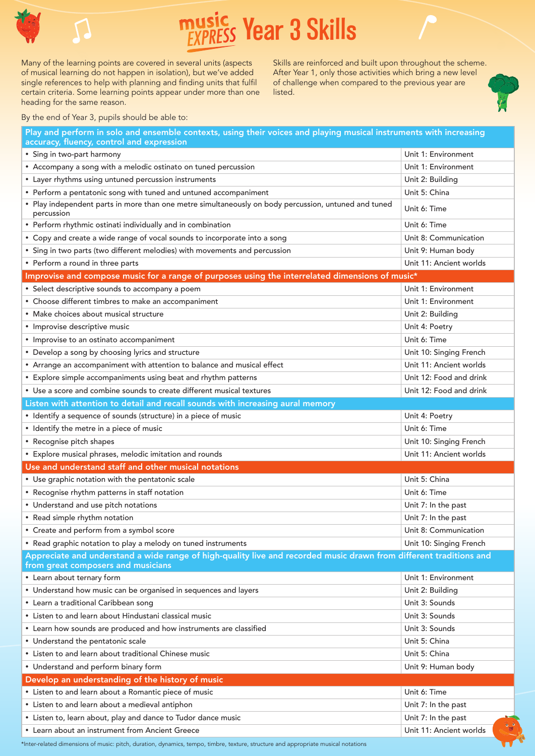

 **Year 3 Skills**

Many of the learning points are covered in several units (aspects of musical learning do not happen in isolation), but we've added single references to help with planning and finding units that fulfil certain criteria. Some learning points appear under more than one heading for the same reason.

Skills are reinforced and built upon throughout the scheme. After Year 1, only those activities which bring a new level of challenge when compared to the previous year are listed.



| Play and perform in solo and ensemble contexts, using their voices and playing musical instruments with increasing<br>accuracy, fluency, control and expression |                                          |  |
|-----------------------------------------------------------------------------------------------------------------------------------------------------------------|------------------------------------------|--|
| • Sing in two-part harmony                                                                                                                                      | Unit 1: Environment                      |  |
| • Accompany a song with a melodic ostinato on tuned percussion                                                                                                  | Unit 1: Environment                      |  |
| • Layer rhythms using untuned percussion instruments                                                                                                            | Unit 2: Building                         |  |
| • Perform a pentatonic song with tuned and untuned accompaniment                                                                                                | Unit 5: China                            |  |
| • Play independent parts in more than one metre simultaneously on body percussion, untuned and tuned                                                            | Unit 6: Time                             |  |
| percussion                                                                                                                                                      |                                          |  |
| • Perform rhythmic ostinati individually and in combination                                                                                                     | Unit 6: Time                             |  |
| • Copy and create a wide range of vocal sounds to incorporate into a song                                                                                       | Unit 8: Communication                    |  |
| • Sing in two parts (two different melodies) with movements and percussion                                                                                      | Unit 9: Human body                       |  |
| • Perform a round in three parts                                                                                                                                | Unit 11: Ancient worlds                  |  |
| Improvise and compose music for a range of purposes using the interrelated dimensions of music*                                                                 |                                          |  |
| • Select descriptive sounds to accompany a poem                                                                                                                 | Unit 1: Environment                      |  |
| • Choose different timbres to make an accompaniment                                                                                                             | Unit 1: Environment                      |  |
| • Make choices about musical structure                                                                                                                          | Unit 2: Building                         |  |
| · Improvise descriptive music                                                                                                                                   | Unit 4: Poetry                           |  |
| • Improvise to an ostinato accompaniment                                                                                                                        | Unit 6: Time                             |  |
| • Develop a song by choosing lyrics and structure                                                                                                               | Unit 10: Singing French                  |  |
| • Arrange an accompaniment with attention to balance and musical effect                                                                                         | Unit 11: Ancient worlds                  |  |
| • Explore simple accompaniments using beat and rhythm patterns                                                                                                  | Unit 12: Food and drink                  |  |
| • Use a score and combine sounds to create different musical textures                                                                                           | Unit 12: Food and drink                  |  |
| Listen with attention to detail and recall sounds with increasing aural memory                                                                                  |                                          |  |
| • Identify a sequence of sounds (structure) in a piece of music                                                                                                 | Unit 4: Poetry                           |  |
| • Identify the metre in a piece of music                                                                                                                        | Unit 6: Time                             |  |
| • Recognise pitch shapes                                                                                                                                        | Unit 10: Singing French                  |  |
| • Explore musical phrases, melodic imitation and rounds                                                                                                         | Unit 11: Ancient worlds                  |  |
| Use and understand staff and other musical notations                                                                                                            |                                          |  |
| • Use graphic notation with the pentatonic scale                                                                                                                | Unit 5: China                            |  |
| • Recognise rhythm patterns in staff notation                                                                                                                   | Unit 6: Time                             |  |
| • Understand and use pitch notations                                                                                                                            | Unit 7: In the past                      |  |
| • Read simple rhythm notation                                                                                                                                   | Unit 7: In the past                      |  |
| • Create and perform from a symbol score                                                                                                                        | Unit 8: Communication                    |  |
| • Read graphic notation to play a melody on tuned instruments                                                                                                   | Unit 10: Singing French                  |  |
| Appreciate and understand a wide range of high-quality live and recorded music drawn from different traditions and                                              |                                          |  |
| from great composers and musicians                                                                                                                              |                                          |  |
| • Learn about ternary form                                                                                                                                      | Unit 1: Environment                      |  |
| • Understand how music can be organised in sequences and layers                                                                                                 | Unit 2: Building                         |  |
| • Learn a traditional Caribbean song                                                                                                                            | Unit 3: Sounds                           |  |
| • Listen to and learn about Hindustani classical music                                                                                                          | Unit 3: Sounds                           |  |
| • Learn how sounds are produced and how instruments are classified                                                                                              | Unit 3: Sounds                           |  |
| • Understand the pentatonic scale                                                                                                                               | Unit 5: China                            |  |
| • Listen to and learn about traditional Chinese music                                                                                                           | Unit 5: China                            |  |
| • Understand and perform binary form                                                                                                                            | Unit 9: Human body                       |  |
| Develop an understanding of the history of music                                                                                                                |                                          |  |
| • Listen to and learn about a Romantic piece of music                                                                                                           | Unit 6: Time                             |  |
| • Listen to and learn about a medieval antiphon                                                                                                                 | Unit 7: In the past                      |  |
| • Listen to, learn about, play and dance to Tudor dance music                                                                                                   | Unit 7: In the past<br>$\sim$            |  |
| • Learn about an instrument from Ancient Greece                                                                                                                 | $\frac{1}{2}$<br>Unit 11: Ancient worlds |  |
| *Inter-related dimensions of music: pitch, duration, dynamics, tempo, timbre, texture, structure and appropriate musical notations                              | $\widehat{\mathbf{U}}$                   |  |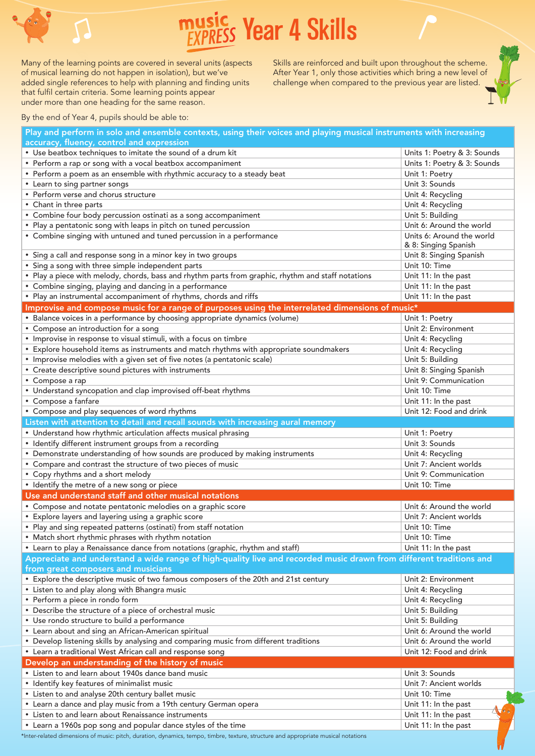

Many of the learning points are covered in several units (aspects of musical learning do not happen in isolation), but we've added single references to help with planning and finding units  **Year 4 Skills**

Skills are reinforced and built upon throughout the scheme. After Year 1, only those activities which bring a new level of challenge when compared to the previous year are listed.

By the end of Year 4, pupils should be able to:

that fulfil certain criteria. Some learning points appear under more than one heading for the same reason.

| Play and perform in solo and ensemble contexts, using their voices and playing musical instruments with increasing                                       |                             |  |
|----------------------------------------------------------------------------------------------------------------------------------------------------------|-----------------------------|--|
| accuracy, fluency, control and expression                                                                                                                |                             |  |
| • Use beatbox techniques to imitate the sound of a drum kit                                                                                              | Units 1: Poetry & 3: Sounds |  |
| • Perform a rap or song with a vocal beatbox accompaniment                                                                                               | Units 1: Poetry & 3: Sounds |  |
| • Perform a poem as an ensemble with rhythmic accuracy to a steady beat                                                                                  | Unit 1: Poetry              |  |
| • Learn to sing partner songs                                                                                                                            | Unit 3: Sounds              |  |
| • Perform verse and chorus structure                                                                                                                     | Unit 4: Recycling           |  |
| • Chant in three parts                                                                                                                                   | Unit 4: Recycling           |  |
| • Combine four body percussion ostinati as a song accompaniment                                                                                          | Unit 5: Building            |  |
| • Play a pentatonic song with leaps in pitch on tuned percussion                                                                                         | Unit 6: Around the world    |  |
| • Combine singing with untuned and tuned percussion in a performance                                                                                     | Units 6: Around the world   |  |
|                                                                                                                                                          | & 8: Singing Spanish        |  |
| • Sing a call and response song in a minor key in two groups                                                                                             | Unit 8: Singing Spanish     |  |
| Sing a song with three simple independent parts                                                                                                          | Unit 10: Time               |  |
| • Play a piece with melody, chords, bass and rhythm parts from graphic, rhythm and staff notations                                                       | Unit 11: In the past        |  |
| • Combine singing, playing and dancing in a performance                                                                                                  | Unit 11: In the past        |  |
| • Play an instrumental accompaniment of rhythms, chords and riffs                                                                                        | Unit 11: In the past        |  |
| Improvise and compose music for a range of purposes using the interrelated dimensions of music*                                                          |                             |  |
| • Balance voices in a performance by choosing appropriate dynamics (volume)                                                                              | Unit 1: Poetry              |  |
| • Compose an introduction for a song                                                                                                                     | Unit 2: Environment         |  |
| • Improvise in response to visual stimuli, with a focus on timbre                                                                                        | Unit 4: Recycling           |  |
| • Explore household items as instruments and match rhythms with appropriate soundmakers                                                                  | Unit 4: Recycling           |  |
| • Improvise melodies with a given set of five notes (a pentatonic scale)                                                                                 | Unit 5: Building            |  |
| • Create descriptive sound pictures with instruments                                                                                                     | Unit 8: Singing Spanish     |  |
| • Compose a rap                                                                                                                                          | Unit 9: Communication       |  |
| • Understand syncopation and clap improvised off-beat rhythms                                                                                            | Unit 10: Time               |  |
| • Compose a fanfare                                                                                                                                      | Unit 11: In the past        |  |
| • Compose and play sequences of word rhythms                                                                                                             | Unit 12: Food and drink     |  |
| Listen with attention to detail and recall sounds with increasing aural memory                                                                           |                             |  |
| • Understand how rhythmic articulation affects musical phrasing                                                                                          | Unit 1: Poetry              |  |
| • Identify different instrument groups from a recording                                                                                                  | Unit 3: Sounds              |  |
| • Demonstrate understanding of how sounds are produced by making instruments                                                                             | Unit 4: Recycling           |  |
| • Compare and contrast the structure of two pieces of music                                                                                              | Unit 7: Ancient worlds      |  |
| • Copy rhythms and a short melody                                                                                                                        | Unit 9: Communication       |  |
| • Identify the metre of a new song or piece                                                                                                              | Unit 10: Time               |  |
|                                                                                                                                                          |                             |  |
| Use and understand staff and other musical notations                                                                                                     | Unit 6: Around the world    |  |
| • Compose and notate pentatonic melodies on a graphic score                                                                                              |                             |  |
| • Explore layers and layering using a graphic score                                                                                                      | Unit 7: Ancient worlds      |  |
| • Play and sing repeated patterns (ostinati) from staff notation                                                                                         | Unit 10: Time               |  |
| • Match short rhythmic phrases with rhythm notation                                                                                                      | Unit 10: Time               |  |
| • Learn to play a Renaissance dance from notations (graphic, rhythm and staff)                                                                           | Unit 11: In the past        |  |
| Appreciate and understand a wide range of high-quality live and recorded music drawn from different traditions and<br>from great composers and musicians |                             |  |
| • Explore the descriptive music of two famous composers of the 20th and 21st century                                                                     | Unit 2: Environment         |  |
| • Listen to and play along with Bhangra music                                                                                                            | Unit 4: Recycling           |  |
| • Perform a piece in rondo form                                                                                                                          | Unit 4: Recycling           |  |
| • Describe the structure of a piece of orchestral music                                                                                                  | Unit 5: Building            |  |
| • Use rondo structure to build a performance                                                                                                             | Unit 5: Building            |  |
|                                                                                                                                                          |                             |  |
| • Learn about and sing an African-American spiritual                                                                                                     | Unit 6: Around the world    |  |
| • Develop listening skills by analysing and comparing music from different traditions                                                                    | Unit 6: Around the world    |  |
| • Learn a traditional West African call and response song                                                                                                | Unit 12: Food and drink     |  |
| Develop an understanding of the history of music                                                                                                         |                             |  |
| • Listen to and learn about 1940s dance band music                                                                                                       | Unit 3: Sounds              |  |
| • Identify key features of minimalist music                                                                                                              | Unit 7: Ancient worlds      |  |
| • Listen to and analyse 20th century ballet music                                                                                                        | Unit 10: Time               |  |
| • Learn a dance and play music from a 19th century German opera                                                                                          | Unit 11: In the past        |  |
| • Listen to and learn about Renaissance instruments                                                                                                      | Unit 11: In the past        |  |
| • Learn a 1960s pop song and popular dance styles of the time                                                                                            | Unit 11: In the past        |  |

\*Inter-related dimensions of music: pitch, duration, dynamics, tempo, timbre, texture, structure and appropriate musical notations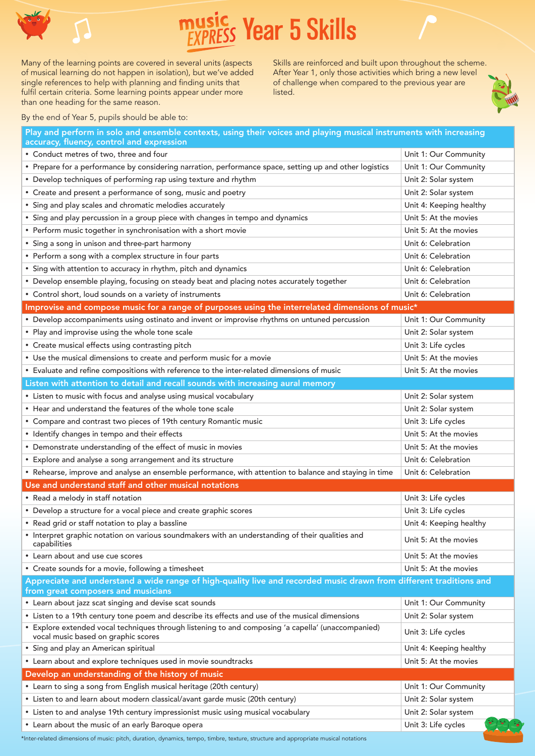

 **Year 5 Skills**

Many of the learning points are covered in several units (aspects of musical learning do not happen in isolation), but we've added single references to help with planning and finding units that fulfil certain criteria. Some learning points appear under more than one heading for the same reason.

Skills are reinforced and built upon throughout the scheme. After Year 1, only those activities which bring a new level of challenge when compared to the previous year are listed.



By the end of Year 5, pupils should be able to:

| Play and perform in solo and ensemble contexts, using their voices and playing musical instruments with increasing<br>accuracy, fluency, control and expression |                         |
|-----------------------------------------------------------------------------------------------------------------------------------------------------------------|-------------------------|
| • Conduct metres of two, three and four                                                                                                                         | Unit 1: Our Community   |
| • Prepare for a performance by considering narration, performance space, setting up and other logistics                                                         | Unit 1: Our Community   |
| • Develop techniques of performing rap using texture and rhythm                                                                                                 | Unit 2: Solar system    |
| • Create and present a performance of song, music and poetry                                                                                                    | Unit 2: Solar system    |
| • Sing and play scales and chromatic melodies accurately                                                                                                        | Unit 4: Keeping healthy |
| • Sing and play percussion in a group piece with changes in tempo and dynamics                                                                                  | Unit 5: At the movies   |
| • Perform music together in synchronisation with a short movie                                                                                                  | Unit 5: At the movies   |
| • Sing a song in unison and three-part harmony                                                                                                                  | Unit 6: Celebration     |
| • Perform a song with a complex structure in four parts                                                                                                         | Unit 6: Celebration     |
| • Sing with attention to accuracy in rhythm, pitch and dynamics                                                                                                 | Unit 6: Celebration     |
| • Develop ensemble playing, focusing on steady beat and placing notes accurately together                                                                       | Unit 6: Celebration     |
| • Control short, loud sounds on a variety of instruments                                                                                                        | Unit 6: Celebration     |
| Improvise and compose music for a range of purposes using the interrelated dimensions of music*                                                                 |                         |
| • Develop accompaniments using ostinato and invent or improvise rhythms on untuned percussion                                                                   | Unit 1: Our Community   |
| • Play and improvise using the whole tone scale                                                                                                                 | Unit 2: Solar system    |
| • Create musical effects using contrasting pitch                                                                                                                | Unit 3: Life cycles     |
| • Use the musical dimensions to create and perform music for a movie                                                                                            | Unit 5: At the movies   |
| • Evaluate and refine compositions with reference to the inter-related dimensions of music                                                                      | Unit 5: At the movies   |
| Listen with attention to detail and recall sounds with increasing aural memory                                                                                  |                         |
| • Listen to music with focus and analyse using musical vocabulary                                                                                               | Unit 2: Solar system    |
| • Hear and understand the features of the whole tone scale                                                                                                      | Unit 2: Solar system    |
| • Compare and contrast two pieces of 19th century Romantic music                                                                                                | Unit 3: Life cycles     |
| • Identify changes in tempo and their effects                                                                                                                   | Unit 5: At the movies   |
| • Demonstrate understanding of the effect of music in movies                                                                                                    | Unit 5: At the movies   |
| • Explore and analyse a song arrangement and its structure                                                                                                      | Unit 6: Celebration     |
| • Rehearse, improve and analyse an ensemble performance, with attention to balance and staying in time                                                          | Unit 6: Celebration     |
| Use and understand staff and other musical notations                                                                                                            |                         |
| • Read a melody in staff notation                                                                                                                               | Unit 3: Life cycles     |
| • Develop a structure for a vocal piece and create graphic scores                                                                                               | Unit 3: Life cycles     |
| • Read grid or staff notation to play a bassline                                                                                                                | Unit 4: Keeping healthy |
| • Interpret graphic notation on various soundmakers with an understanding of their qualities and<br>capabilities                                                | Unit 5: At the movies   |
| • Learn about and use cue scores                                                                                                                                | Unit 5: At the movies   |
| • Create sounds for a movie, following a timesheet                                                                                                              | Unit 5: At the movies   |
| Appreciate and understand a wide range of high-quality live and recorded music drawn from different traditions and                                              |                         |
| from great composers and musicians                                                                                                                              |                         |
| • Learn about jazz scat singing and devise scat sounds                                                                                                          | Unit 1: Our Community   |
| • Listen to a 19th century tone poem and describe its effects and use of the musical dimensions                                                                 | Unit 2: Solar system    |
| * Explore extended vocal techniques through listening to and composing 'a capella' (unaccompanied)<br>vocal music based on graphic scores                       | Unit 3: Life cycles     |
| • Sing and play an American spiritual                                                                                                                           | Unit 4: Keeping healthy |
| • Learn about and explore techniques used in movie soundtracks                                                                                                  | Unit 5: At the movies   |
| Develop an understanding of the history of music                                                                                                                |                         |
| • Learn to sing a song from English musical heritage (20th century)                                                                                             | Unit 1: Our Community   |
| • Listen to and learn about modern classical/avant garde music (20th century)                                                                                   | Unit 2: Solar system    |
| • Listen to and analyse 19th century impressionist music using musical vocabulary                                                                               | Unit 2: Solar system    |
| • Learn about the music of an early Baroque opera                                                                                                               | Unit 3: Life cycles     |
| *Inter-related dimensions of music: pitch, duration, dynamics, tempo, timbre, texture, structure and appropriate musical notations                              |                         |